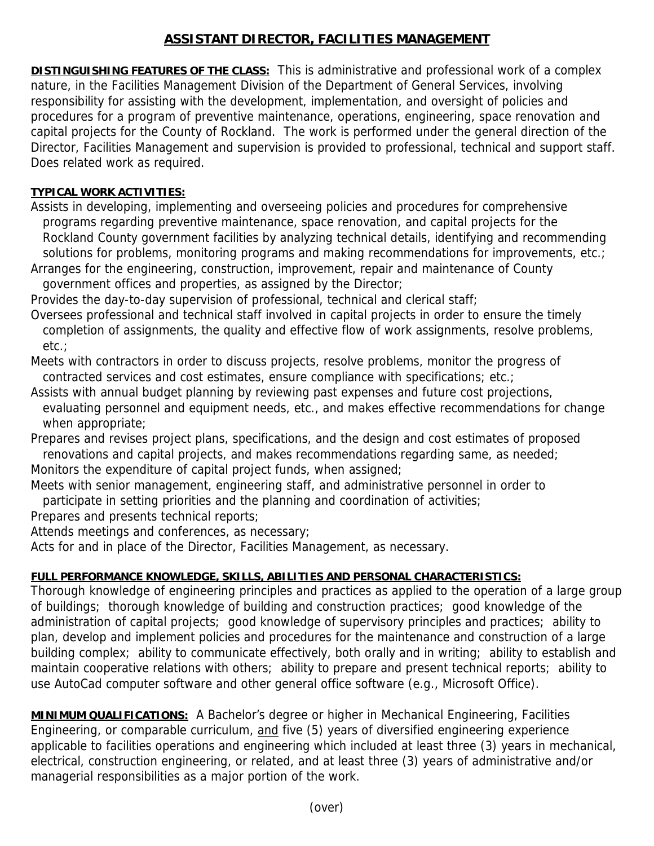## **ASSISTANT DIRECTOR, FACILITIES MANAGEMENT**

**DISTINGUISHING FEATURES OF THE CLASS:** This is administrative and professional work of a complex nature, in the Facilities Management Division of the Department of General Services, involving responsibility for assisting with the development, implementation, and oversight of policies and procedures for a program of preventive maintenance, operations, engineering, space renovation and capital projects for the County of Rockland. The work is performed under the general direction of the Director, Facilities Management and supervision is provided to professional, technical and support staff. Does related work as required.

## **TYPICAL WORK ACTIVITIES:**

Assists in developing, implementing and overseeing policies and procedures for comprehensive programs regarding preventive maintenance, space renovation, and capital projects for the Rockland County government facilities by analyzing technical details, identifying and recommending solutions for problems, monitoring programs and making recommendations for improvements, etc.;

Arranges for the engineering, construction, improvement, repair and maintenance of County government offices and properties, as assigned by the Director;

Provides the day-to-day supervision of professional, technical and clerical staff;

Oversees professional and technical staff involved in capital projects in order to ensure the timely completion of assignments, the quality and effective flow of work assignments, resolve problems, etc.;

Meets with contractors in order to discuss projects, resolve problems, monitor the progress of contracted services and cost estimates, ensure compliance with specifications; etc.;

Assists with annual budget planning by reviewing past expenses and future cost projections, evaluating personnel and equipment needs, etc., and makes effective recommendations for change when appropriate;

Prepares and revises project plans, specifications, and the design and cost estimates of proposed renovations and capital projects, and makes recommendations regarding same, as needed; Monitors the expenditure of capital project funds, when assigned;

Meets with senior management, engineering staff, and administrative personnel in order to participate in setting priorities and the planning and coordination of activities;

Prepares and presents technical reports;

Attends meetings and conferences, as necessary;

Acts for and in place of the Director, Facilities Management, as necessary.

## **FULL PERFORMANCE KNOWLEDGE, SKILLS, ABILITIES AND PERSONAL CHARACTERISTICS:**

Thorough knowledge of engineering principles and practices as applied to the operation of a large group of buildings; thorough knowledge of building and construction practices; good knowledge of the administration of capital projects; good knowledge of supervisory principles and practices; ability to plan, develop and implement policies and procedures for the maintenance and construction of a large building complex; ability to communicate effectively, both orally and in writing; ability to establish and maintain cooperative relations with others; ability to prepare and present technical reports; ability to use AutoCad computer software and other general office software (e.g., Microsoft Office).

**MINIMUM QUALIFICATIONS:** A Bachelor's degree or higher in Mechanical Engineering, Facilities Engineering, or comparable curriculum, and five (5) years of diversified engineering experience applicable to facilities operations and engineering which included at least three (3) years in mechanical, electrical, construction engineering, or related, and at least three (3) years of administrative and/or managerial responsibilities as a major portion of the work.